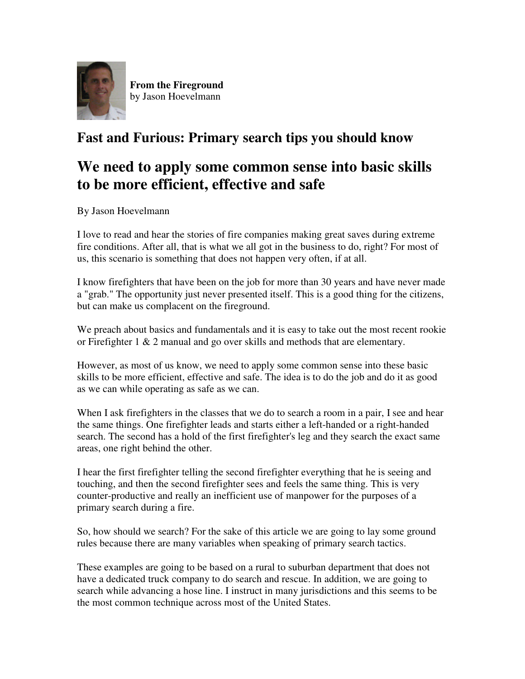

**From the Fireground** by Jason Hoevelmann

## **Fast and Furious: Primary search tips you should know**

# **We need to apply some common sense into basic skills to be more efficient, effective and safe**

By Jason Hoevelmann

I love to read and hear the stories of fire companies making great saves during extreme fire conditions. After all, that is what we all got in the business to do, right? For most of us, this scenario is something that does not happen very often, if at all.

I know firefighters that have been on the job for more than 30 years and have never made a "grab." The opportunity just never presented itself. This is a good thing for the citizens, but can make us complacent on the fireground.

We preach about basics and fundamentals and it is easy to take out the most recent rookie or Firefighter  $1 \& 2$  manual and go over skills and methods that are elementary.

However, as most of us know, we need to apply some common sense into these basic skills to be more efficient, effective and safe. The idea is to do the job and do it as good as we can while operating as safe as we can.

When I ask firefighters in the classes that we do to search a room in a pair, I see and hear the same things. One firefighter leads and starts either a left-handed or a right-handed search. The second has a hold of the first firefighter's leg and they search the exact same areas, one right behind the other.

I hear the first firefighter telling the second firefighter everything that he is seeing and touching, and then the second firefighter sees and feels the same thing. This is very counter-productive and really an inefficient use of manpower for the purposes of a primary search during a fire.

So, how should we search? For the sake of this article we are going to lay some ground rules because there are many variables when speaking of primary search tactics.

These examples are going to be based on a rural to suburban department that does not have a dedicated truck company to do search and rescue. In addition, we are going to search while advancing a hose line. I instruct in many jurisdictions and this seems to be the most common technique across most of the United States.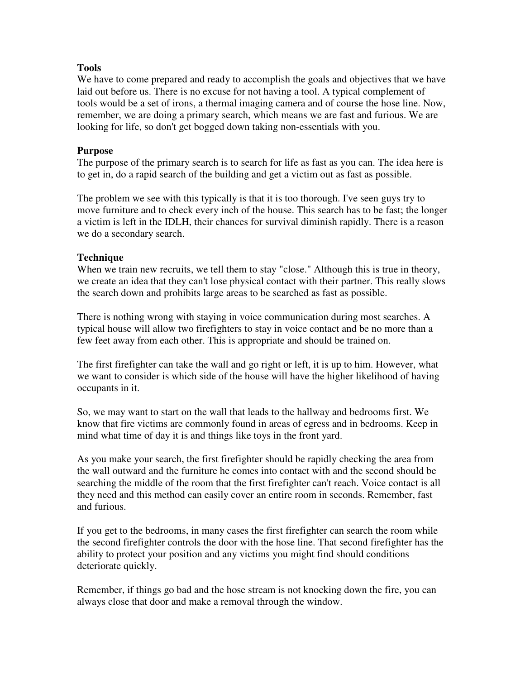### **Tools**

We have to come prepared and ready to accomplish the goals and objectives that we have laid out before us. There is no excuse for not having a tool. A typical complement of tools would be a set of irons, a thermal imaging camera and of course the hose line. Now, remember, we are doing a primary search, which means we are fast and furious. We are looking for life, so don't get bogged down taking non-essentials with you.

### **Purpose**

The purpose of the primary search is to search for life as fast as you can. The idea here is to get in, do a rapid search of the building and get a victim out as fast as possible.

The problem we see with this typically is that it is too thorough. I've seen guys try to move furniture and to check every inch of the house. This search has to be fast; the longer a victim is left in the IDLH, their chances for survival diminish rapidly. There is a reason we do a secondary search.

### **Technique**

When we train new recruits, we tell them to stay "close." Although this is true in theory, we create an idea that they can't lose physical contact with their partner. This really slows the search down and prohibits large areas to be searched as fast as possible.

There is nothing wrong with staying in voice communication during most searches. A typical house will allow two firefighters to stay in voice contact and be no more than a few feet away from each other. This is appropriate and should be trained on.

The first firefighter can take the wall and go right or left, it is up to him. However, what we want to consider is which side of the house will have the higher likelihood of having occupants in it.

So, we may want to start on the wall that leads to the hallway and bedrooms first. We know that fire victims are commonly found in areas of egress and in bedrooms. Keep in mind what time of day it is and things like toys in the front yard.

As you make your search, the first firefighter should be rapidly checking the area from the wall outward and the furniture he comes into contact with and the second should be searching the middle of the room that the first firefighter can't reach. Voice contact is all they need and this method can easily cover an entire room in seconds. Remember, fast and furious.

If you get to the bedrooms, in many cases the first firefighter can search the room while the second firefighter controls the door with the hose line. That second firefighter has the ability to protect your position and any victims you might find should conditions deteriorate quickly.

Remember, if things go bad and the hose stream is not knocking down the fire, you can always close that door and make a removal through the window.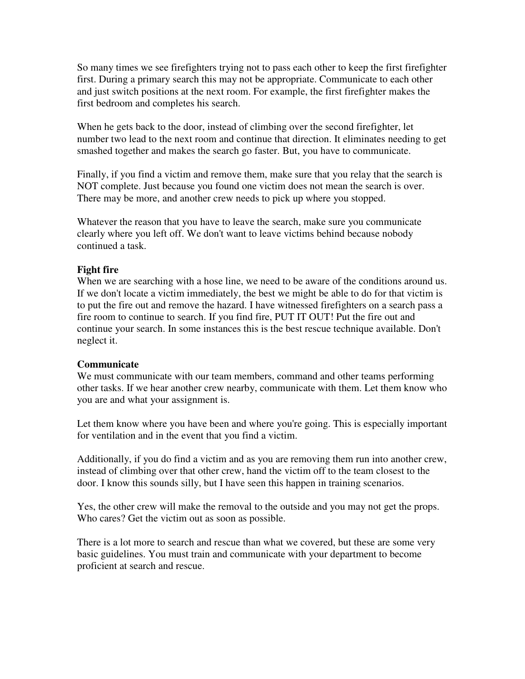So many times we see firefighters trying not to pass each other to keep the first firefighter first. During a primary search this may not be appropriate. Communicate to each other and just switch positions at the next room. For example, the first firefighter makes the first bedroom and completes his search.

When he gets back to the door, instead of climbing over the second firefighter, let number two lead to the next room and continue that direction. It eliminates needing to get smashed together and makes the search go faster. But, you have to communicate.

Finally, if you find a victim and remove them, make sure that you relay that the search is NOT complete. Just because you found one victim does not mean the search is over. There may be more, and another crew needs to pick up where you stopped.

Whatever the reason that you have to leave the search, make sure you communicate clearly where you left off. We don't want to leave victims behind because nobody continued a task.

### **Fight fire**

When we are searching with a hose line, we need to be aware of the conditions around us. If we don't locate a victim immediately, the best we might be able to do for that victim is to put the fire out and remove the hazard. I have witnessed firefighters on a search pass a fire room to continue to search. If you find fire, PUT IT OUT! Put the fire out and continue your search. In some instances this is the best rescue technique available. Don't neglect it.

#### **Communicate**

We must communicate with our team members, command and other teams performing other tasks. If we hear another crew nearby, communicate with them. Let them know who you are and what your assignment is.

Let them know where you have been and where you're going. This is especially important for ventilation and in the event that you find a victim.

Additionally, if you do find a victim and as you are removing them run into another crew, instead of climbing over that other crew, hand the victim off to the team closest to the door. I know this sounds silly, but I have seen this happen in training scenarios.

Yes, the other crew will make the removal to the outside and you may not get the props. Who cares? Get the victim out as soon as possible.

There is a lot more to search and rescue than what we covered, but these are some very basic guidelines. You must train and communicate with your department to become proficient at search and rescue.